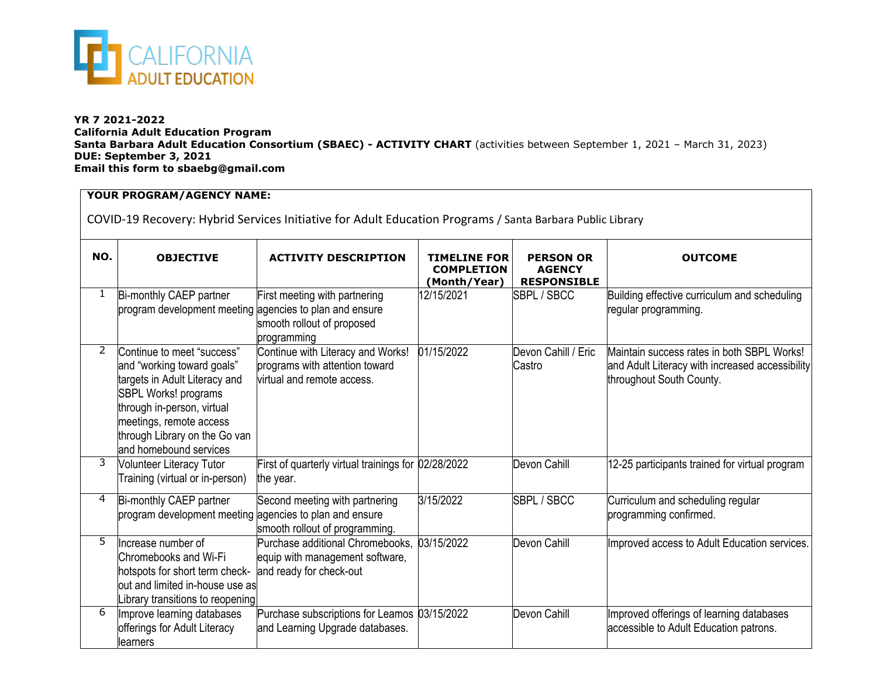

## **YR 7 2021-2022 California Adult Education Program Santa Barbara Adult Education Consortium (SBAEC) - ACTIVITY CHART** (activities between September 1, 2021 – March 31, 2023) **DUE: September 3, 2021 Email this form to sbaebg@gmail.com**

## **YOUR PROGRAM/AGENCY NAME:**

COVID-19 Recovery: Hybrid Services Initiative for Adult Education Programs / Santa Barbara Public Library

| NO.           | <b>OBJECTIVE</b>                                                                                                                                                                                                                      | <b>ACTIVITY DESCRIPTION</b>                                                                       | <b>TIMELINE FOR</b><br><b>COMPLETION</b><br>(Month/Year) | <b>PERSON OR</b><br><b>AGENCY</b><br><b>RESPONSIBLE</b> | <b>OUTCOME</b>                                                                                                            |  |
|---------------|---------------------------------------------------------------------------------------------------------------------------------------------------------------------------------------------------------------------------------------|---------------------------------------------------------------------------------------------------|----------------------------------------------------------|---------------------------------------------------------|---------------------------------------------------------------------------------------------------------------------------|--|
| 1             | Bi-monthly CAEP partner<br>program development meeting agencies to plan and ensure                                                                                                                                                    | First meeting with partnering<br>smooth rollout of proposed<br>programming                        | 12/15/2021                                               | SBPL / SBCC                                             | Building effective curriculum and scheduling<br>regular programming.                                                      |  |
| $\mathcal{P}$ | Continue to meet "success"<br>and "working toward goals"<br>targets in Adult Literacy and<br>SBPL Works! programs<br>through in-person, virtual<br>meetings, remote access<br>through Library on the Go van<br>and homebound services | Continue with Literacy and Works!<br>programs with attention toward<br>virtual and remote access. | 01/15/2022                                               | Devon Cahill / Eric<br>Castro                           | Maintain success rates in both SBPL Works!<br>and Adult Literacy with increased accessibility<br>throughout South County. |  |
| 3             | <b>Volunteer Literacy Tutor</b><br>Training (virtual or in-person)                                                                                                                                                                    | First of quarterly virtual trainings for 02/28/2022<br>the year.                                  |                                                          | Devon Cahill                                            | 12-25 participants trained for virtual program                                                                            |  |
| 4             | Bi-monthly CAEP partner<br>program development meeting agencies to plan and ensure                                                                                                                                                    | Second meeting with partnering<br>smooth rollout of programming.                                  | 3/15/2022                                                | SBPL / SBCC                                             | Curriculum and scheduling regular<br>programming confirmed.                                                               |  |
| 5             | Increase number of<br>Chromebooks and Wi-Fi<br>hotspots for short term check-<br>out and limited in-house use as<br>ibrary transitions to reopening                                                                                   | Purchase additional Chromebooks,<br>equip with management software,<br>and ready for check-out    | 03/15/2022                                               | Devon Cahill                                            | Improved access to Adult Education services.                                                                              |  |
| 6             | Improve learning databases<br>offerings for Adult Literacy<br>learners                                                                                                                                                                | Purchase subscriptions for Leamos 03/15/2022<br>and Learning Upgrade databases.                   |                                                          | Devon Cahill                                            | Improved offerings of learning databases<br>accessible to Adult Education patrons.                                        |  |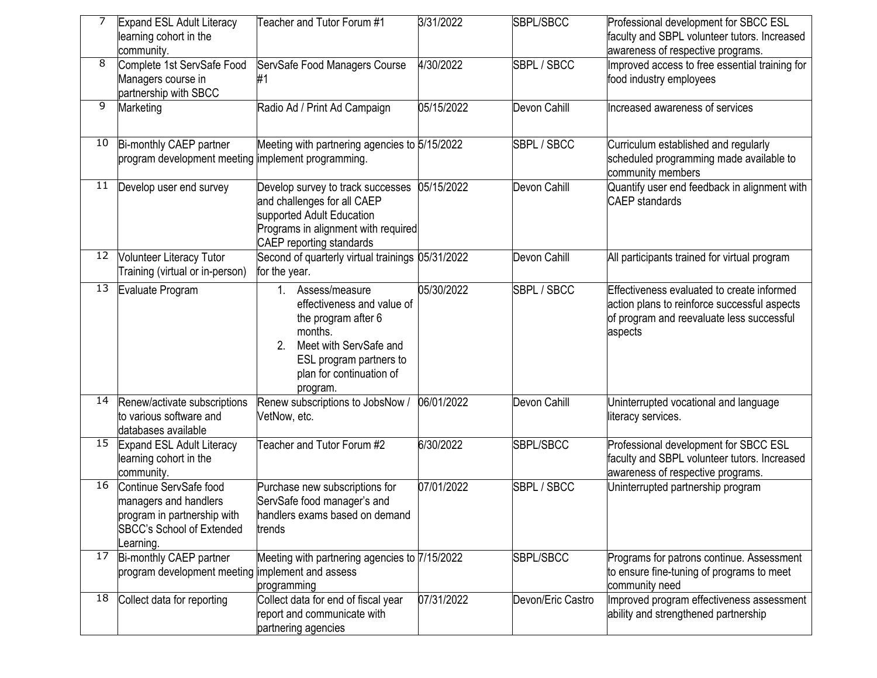|    | Expand ESL Adult Literacy<br>learning cohort in the<br>community.                                                              | Teacher and Tutor Forum #1                                                                                                                                                             | 3/31/2022  | SBPL/SBCC         | Professional development for SBCC ESL<br>faculty and SBPL volunteer tutors. Increased<br>awareness of respective programs.                         |
|----|--------------------------------------------------------------------------------------------------------------------------------|----------------------------------------------------------------------------------------------------------------------------------------------------------------------------------------|------------|-------------------|----------------------------------------------------------------------------------------------------------------------------------------------------|
| 8  | Complete 1st ServSafe Food<br>Managers course in<br>partnership with SBCC                                                      | ServSafe Food Managers Course                                                                                                                                                          | 4/30/2022  | SBPL / SBCC       | Improved access to free essential training for<br>food industry employees                                                                          |
| 9  | Marketing                                                                                                                      | Radio Ad / Print Ad Campaign                                                                                                                                                           | 05/15/2022 | Devon Cahill      | Increased awareness of services                                                                                                                    |
| 10 | Bi-monthly CAEP partner<br>program development meeting implement programming.                                                  | Meeting with partnering agencies to 5/15/2022                                                                                                                                          |            | SBPL / SBCC       | Curriculum established and regularly<br>scheduled programming made available to<br>community members                                               |
| 11 | Develop user end survey                                                                                                        | Develop survey to track successes<br>and challenges for all CAEP<br>supported Adult Education<br>Programs in alignment with required<br><b>CAEP</b> reporting standards                | 05/15/2022 | Devon Cahill      | Quantify user end feedback in alignment with<br><b>CAEP</b> standards                                                                              |
| 12 | <b>Volunteer Literacy Tutor</b><br>Training (virtual or in-person)                                                             | Second of quarterly virtual trainings 05/31/2022<br>for the year.                                                                                                                      |            | Devon Cahill      | All participants trained for virtual program                                                                                                       |
| 13 | Evaluate Program                                                                                                               | Assess/measure<br>1<br>effectiveness and value of<br>the program after 6<br>months.<br>Meet with ServSafe and<br>2.<br>ESL program partners to<br>plan for continuation of<br>program. | 05/30/2022 | SBPL / SBCC       | Effectiveness evaluated to create informed<br>action plans to reinforce successful aspects<br>of program and reevaluate less successful<br>aspects |
| 14 | Renew/activate subscriptions<br>to various software and<br>databases available                                                 | Renew subscriptions to JobsNow /<br>VetNow, etc.                                                                                                                                       | 06/01/2022 | Devon Cahill      | Uninterrupted vocational and language<br>literacy services.                                                                                        |
| 15 | <b>Expand ESL Adult Literacy</b><br>learning cohort in the<br>community.                                                       | Teacher and Tutor Forum #2                                                                                                                                                             | 6/30/2022  | SBPL/SBCC         | Professional development for SBCC ESL<br>faculty and SBPL volunteer tutors. Increased<br>awareness of respective programs.                         |
| 16 | Continue ServSafe food<br>managers and handlers<br>program in partnership with<br><b>SBCC's School of Extended</b><br>earning. | Purchase new subscriptions for<br>ServSafe food manager's and<br>handlers exams based on demand<br>trends                                                                              | 07/01/2022 | SBPL / SBCC       | Jninterrupted partnership program                                                                                                                  |
| 17 | Bi-monthly CAEP partner<br>program development meeting implement and assess                                                    | Meeting with partnering agencies to 7/15/2022<br>programming                                                                                                                           |            | SBPL/SBCC         | Programs for patrons continue. Assessment<br>to ensure fine-tuning of programs to meet<br>community need                                           |
| 18 | Collect data for reporting                                                                                                     | Collect data for end of fiscal year<br>report and communicate with<br>partnering agencies                                                                                              | 07/31/2022 | Devon/Eric Castro | Improved program effectiveness assessment<br>ability and strengthened partnership                                                                  |